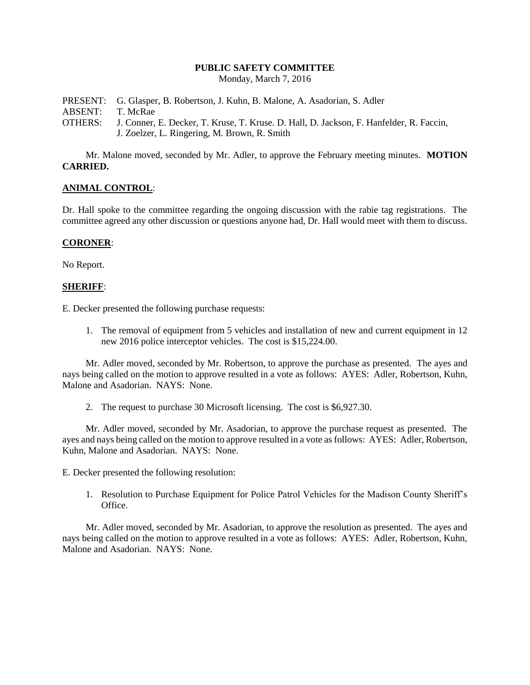#### **PUBLIC SAFETY COMMITTEE**

Monday, March 7, 2016

PRESENT: G. Glasper, B. Robertson, J. Kuhn, B. Malone, A. Asadorian, S. Adler ABSENT: T. McRae OTHERS: J. Conner, E. Decker, T. Kruse, T. Kruse. D. Hall, D. Jackson, F. Hanfelder, R. Faccin, J. Zoelzer, L. Ringering, M. Brown, R. Smith

Mr. Malone moved, seconded by Mr. Adler, to approve the February meeting minutes. **MOTION CARRIED.**

## **ANIMAL CONTROL**:

Dr. Hall spoke to the committee regarding the ongoing discussion with the rabie tag registrations. The committee agreed any other discussion or questions anyone had, Dr. Hall would meet with them to discuss.

### **CORONER**:

No Report.

#### **SHERIFF**:

E. Decker presented the following purchase requests:

1. The removal of equipment from 5 vehicles and installation of new and current equipment in 12 new 2016 police interceptor vehicles. The cost is \$15,224.00.

Mr. Adler moved, seconded by Mr. Robertson, to approve the purchase as presented. The ayes and nays being called on the motion to approve resulted in a vote as follows: AYES: Adler, Robertson, Kuhn, Malone and Asadorian. NAYS: None.

2. The request to purchase 30 Microsoft licensing. The cost is \$6,927.30.

Mr. Adler moved, seconded by Mr. Asadorian, to approve the purchase request as presented. The ayes and nays being called on the motion to approve resulted in a vote as follows: AYES: Adler, Robertson, Kuhn, Malone and Asadorian. NAYS: None.

E. Decker presented the following resolution:

1. Resolution to Purchase Equipment for Police Patrol Vehicles for the Madison County Sheriff's Office.

Mr. Adler moved, seconded by Mr. Asadorian, to approve the resolution as presented. The ayes and nays being called on the motion to approve resulted in a vote as follows: AYES: Adler, Robertson, Kuhn, Malone and Asadorian. NAYS: None.